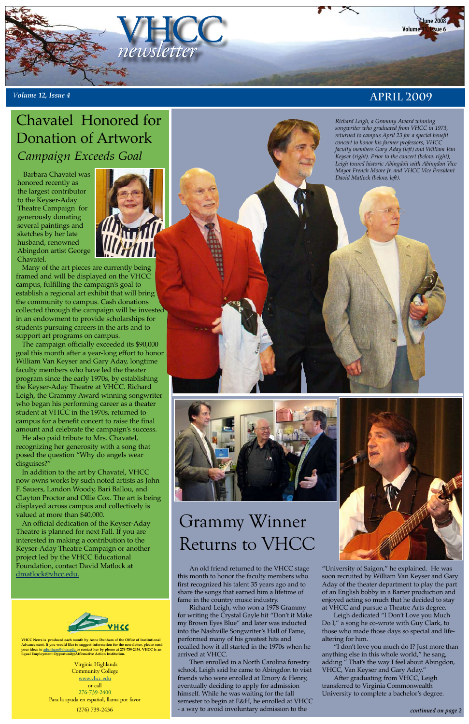Virginia Highlands **Community College** <u>www.vhcc.edu</u> or call 276-739-2400 Para la ayuda en español, llama por favor (276) 739-2436

**VHCC News is produced each month by Anne Dunham of the Office of Institutional Advancement. If you would like to suggest information for the newsletter, please send your ideas to adunham@vhcc.edu or contact her by phone at 276-739-2456. VHCC is an Equal Employment Opportunity/Affirmative Action Institution.**



Many of the art pieces are currently being framed and will be displayed on the VHCC campus, fulfilling the campaign's goal to establish a regional art exhibit that will bring the community to campus. Cash donations collected through the campaign will be invested in an endowment to provide scholarships for students pursuing careers in the arts and to support art programs on campus.

The campaign officially exceeded its \$90,000 goal this month after a year-long effort to honor William Van Keyser and Gary Aday, longtime faculty members who have led the theater program since the early 1970s, by establishing the Keyser-Aday Theatre at VHCC. Richard Leigh, the Grammy Award winning songwriter who began his performing career as a theater student at VHCC in the 1970s, returned to campus for a benefit concert to raise the final amount and celebrate the campaign's success.



He also paid tribute to Mrs. Chavatel, recognizing her generosity with a song that posed the question "Why do angels wear disguises?"

In addition to the art by Chavatel, VHCC now owns works by such noted artists as John F. Sauers, Landon Woody, Bari Ballou, and Clayton Proctor and Ollie Cox. The art is being displayed across campus and collectively is valued at more than \$40,000.

An official dedication of the Keyser-Aday Theatre is planned for next Fall. If you are interested in making a contribution to the Keyser-Aday Theatre Campaign or another project led by the VHCC Educational Foundation, contact David Matlock at dmatlock@vhcc.edu.

Grammy Winner





# Returns to VHCC

## *Campaign Exceeds Goal* Chavatel Honored for Donation of Artwork

*Richard Leigh, a Grammy Award winning songwriter who graduated from VHCC in 1973, returned to campus April 23 for a special benefit concert to honor his former professors, VHCC faculty members Gary Aday (left) and William Van Keyser (right). Prior to the concert (below, right), Leigh toured historic Abingdon with Abingdon Vice Mayor French Moore Jr. and VHCC Vice President David Matlock (below, left).*



 An old friend returned to the VHCC stage this month to honor the faculty members who first recognized his talent 35 years ago and to share the songs that earned him a lifetime of fame in the country music industry.

Richard Leigh, who won a 1978 Grammy for writing the Crystal Gayle hit "Don't it Make my Brown Eyes Blue" and later was inducted into the Nashville Songwriter's Hall of Fame, performed many of his greatest hits and recalled how it all started in the 1970s when he arrived at VHCC.

 Then enrolled in a North Carolina forestry school, Leigh said he came to Abingdon to visit friends who were enrolled at Emory & Henry, eventually deciding to apply for admission himself. While he was waiting for the fall semester to begin at E&H, he enrolled at VHCC - a way to avoid involuntary admission to the

"University of Saigon," he explained. He was soon recruited by William Van Keyser and Gary Aday of the theater department to play the part of an English bobby in a Barter production and enjoyed acting so much that he decided to stay at VHCC and pursue a Theatre Arts degree.

Leigh dedicated "I Don't Love you Much Do I," a song he co-wrote with Guy Clark, to those who made those days so special and lifealtering for him.

"I don't love you much do I? Just more than anything else in this whole world," he sang, adding " That's the way I feel about Abingdon, VHCC, Van Keyser and Gary Aday."

After graduating from VHCC, Leigh transferred to Virginia Commonwealth University to complete a bachelor's degree.

Barbara Chavatel was honored recently as the largest contributor to the Keyser-Aday Theatre Campaign for generously donating several paintings and sketches by her late husband, renowned Abingdon artist George Chavatel.